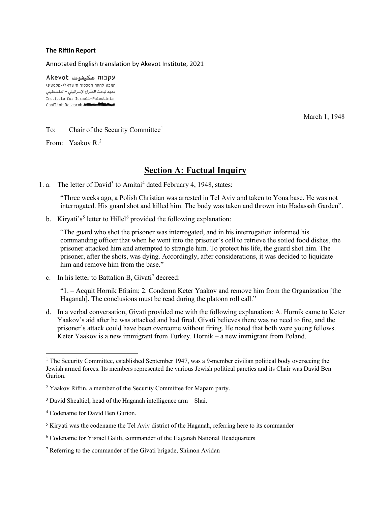#### **The Riftin Report**

Annotated English translation by Akevot Institute, 2021

עקבות عكيفوت Akevot המכון לחקר הסכסוך הישראלי-פלסטיני معهد لبحث الصّراع الإسرائيلي - الفلسطيني Institute for Israeli-Palestinian Conflict Research

March 1, 1948

#### To: Chair of the Security Committee<sup>1</sup>

From: Yaakov R.2

## **Section A: Factual Inquiry**

1. a. The letter of David<sup>3</sup> to Amitai<sup>4</sup> dated February 4, 1948, states:

"Three weeks ago, a Polish Christian was arrested in Tel Aviv and taken to Yona base. He was not interrogated. His guard shot and killed him. The body was taken and thrown into Hadassah Garden".

b. Kiryati's<sup>5</sup> letter to Hillel<sup>6</sup> provided the following explanation:

"The guard who shot the prisoner was interrogated, and in his interrogation informed his commanding officer that when he went into the prisoner's cell to retrieve the soiled food dishes, the prisoner attacked him and attempted to strangle him. To protect his life, the guard shot him. The prisoner, after the shots, was dying. Accordingly, after considerations, it was decided to liquidate him and remove him from the base."

c. In his letter to Battalion B, Givati<sup>7</sup> decreed:

"1. – Acquit Hornik Efraim; 2. Condemn Keter Yaakov and remove him from the Organization [the Haganah]. The conclusions must be read during the platoon roll call."

d. In a verbal conversation, Givati provided me with the following explanation: A. Hornik came to Keter Yaakov's aid after he was attacked and had fired. Givati believes there was no need to fire, and the prisoner's attack could have been overcome without firing. He noted that both were young fellows. Keter Yaakov is a new immigrant from Turkey. Hornik – a new immigrant from Poland.

<sup>&</sup>lt;sup>1</sup> The Security Committee, established September 1947, was a 9-member civilian political body overseeing the Jewish armed forces. Its members represented the various Jewish political pareties and its Chair was David Ben Gurion.

<sup>&</sup>lt;sup>2</sup> Yaakov Riftin, a member of the Security Committee for Mapam party.

 $3$  David Shealtiel, head of the Haganah intelligence arm  $-$  Shai.

<sup>4</sup> Codename for David Ben Gurion.

<sup>5</sup> Kiryati was the codename the Tel Aviv district of the Haganah, referring here to its commander

<sup>6</sup> Codename for Yisrael Galili, commander of the Haganah National Headquarters

<sup>7</sup> Referring to the commander of the Givati brigade, Shimon Avidan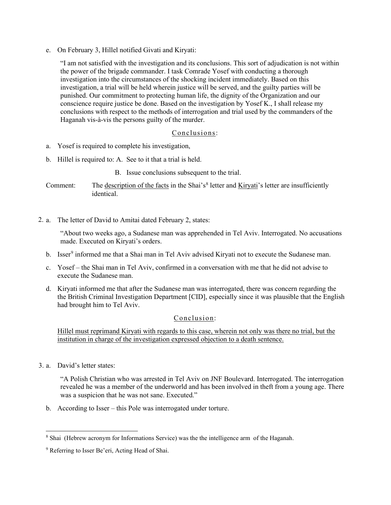e. On February 3, Hillel notified Givati and Kiryati:

"I am not satisfied with the investigation and its conclusions. This sort of adjudication is not within the power of the brigade commander. I task Comrade Yosef with conducting a thorough investigation into the circumstances of the shocking incident immediately. Based on this investigation, a trial will be held wherein justice will be served, and the guilty parties will be punished. Our commitment to protecting human life, the dignity of the Organization and our conscience require justice be done. Based on the investigation by Yosef K., I shall release my conclusions with respect to the methods of interrogation and trial used by the commanders of the Haganah vis-à-vis the persons guilty of the murder.

## Conclusions:

- a. Yosef is required to complete his investigation,
- b. Hillel is required to: A. See to it that a trial is held.
	- B. Issue conclusions subsequent to the trial.
- Comment: The description of the facts in the Shai's<sup>8</sup> letter and  $\overline{Kiryati}$ 's letter are insufficiently identical.
- 2. a. The letter of David to Amitai dated February 2, states:

"About two weeks ago, a Sudanese man was apprehended in Tel Aviv. Interrogated. No accusations made. Executed on Kiryati's orders.

- b. Isser $9$  informed me that a Shai man in Tel Aviv advised Kiryati not to execute the Sudanese man.
- c. Yosef the Shai man in Tel Aviv, confirmed in a conversation with me that he did not advise to execute the Sudanese man.
- d. Kiryati informed me that after the Sudanese man was interrogated, there was concern regarding the the British Criminal Investigation Department [CID], especially since it was plausible that the English had brought him to Tel Aviv.

## Conclusion:

Hillel must reprimand Kiryati with regards to this case, wherein not only was there no trial, but the institution in charge of the investigation expressed objection to a death sentence.

3. a. David's letter states:

"A Polish Christian who was arrested in Tel Aviv on JNF Boulevard. Interrogated. The interrogation revealed he was a member of the underworld and has been involved in theft from a young age. There was a suspicion that he was not sane. Executed."

b. According to Isser – this Pole was interrogated under torture.

<sup>8</sup> Shai (Hebrew acronym for Informations Service) was the the intelligence arm of the Haganah.

<sup>&</sup>lt;sup>9</sup> Referring to Isser Be'eri, Acting Head of Shai.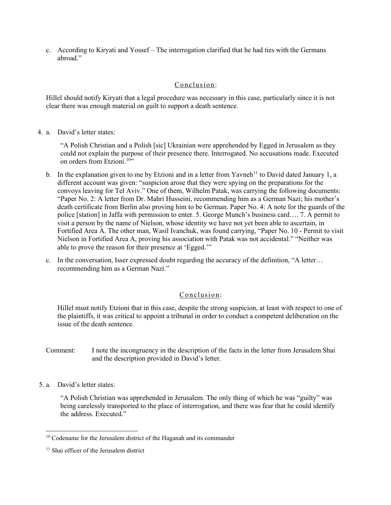c. According to Kiryati and Yossef – The interrogation clarified that he had ties with the Germans abroad."

#### Conclusion:

Hillel should notify Kiryati that a legal procedure was necessary in this case, particularly since it is not clear there was enough material on guilt to support a death sentence.

4. a. David's letter states:

"A Polish Christian and a Polish [sic] Ukrainian were apprehended by Egged in Jerusalem as they could not explain the purpose of their presence there. Interrogated. No accusations made. Executed on orders from Etzioni.<sup>10"</sup>

- b. In the explanation given to me by Etzioni and in a letter from Yavneh<sup>11</sup> to David dated January 1, a different account was given: "suspicion arose that they were spying on the preparations for the convoys leaving for Tel Aviv." One of them, Wilhelm Patak, was carrying the following documents: "Paper No. 2: A letter from Dr. Mahri Husseini, recommending him as a German Nazi; his mother's death certificate from Berlin also proving him to be German. Paper No. 4: A note for the guards of the police [station] in Jaffa with permission to enter. 5. George Munch's business card…. 7. A permit to visit a person by the name of Nielson, whose identity we have not yet been able to ascertain, in Fortified Area A. The other man, Wasil Ivanchuk, was found carrying, "Paper No. 10 - Permit to visit Nielson in Fortified Area A, proving his association with Patak was not accidental." "Neither was able to prove the reason for their presence at 'Egged.'"
- c. In the conversation, Isser expressed doubt regarding the accuracy of the definition, "A letter… recommending him as a German Nazi."

## Conclusion:

Hillel must notify Etzioni that in this case, despite the strong suspicion, at least with respect to one of the plaintiffs, it was critical to appoint a tribunal in order to conduct a competent deliberation on the issue of the death sentence.

- Comment: I note the incongruency in the description of the facts in the letter from Jerusalem Shai and the description provided in David's letter.
- 5. a. David's letter states:

"A Polish Christian was apprehended in Jerusalem. The only thing of which he was "guilty" was being carelessly transported to the place of interrogation, and there was fear that he could identify the address. Executed."

<sup>&</sup>lt;sup>10</sup> Codename for the Jerusalem district of the Haganah and its commander

<sup>&</sup>lt;sup>11</sup> Shai officer of the Jerusalem district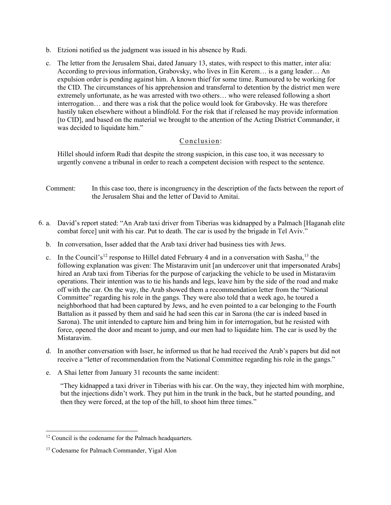- b. Etzioni notified us the judgment was issued in his absence by Rudi.
- c. The letter from the Jerusalem Shai, dated January 13, states, with respect to this matter, inter alia: According to previous information, Grabovsky, who lives in Ein Kerem… is a gang leader… An expulsion order is pending against him. A known thief for some time. Rumoured to be working for the CID. The circumstances of his apprehension and transferral to detention by the district men were extremely unfortunate, as he was arrested with two others… who were released following a short interrogation… and there was a risk that the police would look for Grabovsky. He was therefore hastily taken elsewhere without a blindfold. For the risk that if released he may provide information [to CID], and based on the material we brought to the attention of the Acting District Commander, it was decided to liquidate him."

#### Conclusion:

Hillel should inform Rudi that despite the strong suspicion, in this case too, it was necessary to urgently convene a tribunal in order to reach a competent decision with respect to the sentence.

- Comment: In this case too, there is incongruency in the description of the facts between the report of the Jerusalem Shai and the letter of David to Amitai.
- 6. a. David's report stated: "An Arab taxi driver from Tiberias was kidnapped by a Palmach [Haganah elite combat force] unit with his car. Put to death. The car is used by the brigade in Tel Aviv."
	- b. In conversation, Isser added that the Arab taxi driver had business ties with Jews.
	- c. In the Council's<sup>12</sup> response to Hillel dated February 4 and in a conversation with Sasha,  $13$  the following explanation was given: The Mistaravim unit [an undercover unit that impersonated Arabs] hired an Arab taxi from Tiberias for the purpose of carjacking the vehicle to be used in Mistaravim operations. Their intention was to tie his hands and legs, leave him by the side of the road and make off with the car. On the way, the Arab showed them a recommendation letter from the "National Committee" regarding his role in the gangs. They were also told that a week ago, he toured a neighborhood that had been captured by Jews, and he even pointed to a car belonging to the Fourth Battalion as it passed by them and said he had seen this car in Sarona (the car is indeed based in Sarona). The unit intended to capture him and bring him in for interrogation, but he resisted with force, opened the door and meant to jump, and our men had to liquidate him. The car is used by the Mistaravim.
	- d. In another conversation with Isser, he informed us that he had received the Arab's papers but did not receive a "letter of recommendation from the National Committee regarding his role in the gangs."
	- e. A Shai letter from January 31 recounts the same incident:

"They kidnapped a taxi driver in Tiberias with his car. On the way, they injected him with morphine, but the injections didn't work. They put him in the trunk in the back, but he started pounding, and then they were forced, at the top of the hill, to shoot him three times."

<sup>&</sup>lt;sup>12</sup> Council is the codename for the Palmach headquarters.

<sup>13</sup> Codename for Palmach Commander, Yigal Alon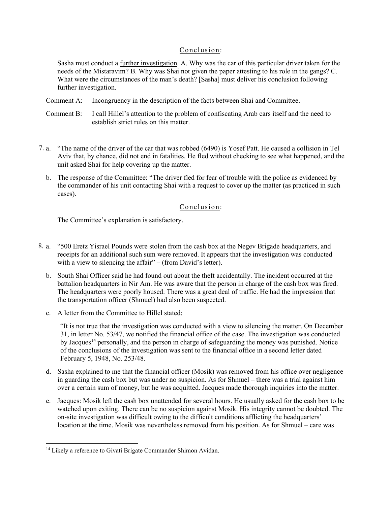#### Conclusion:

Sasha must conduct a further investigation. A. Why was the car of this particular driver taken for the needs of the Mistaravim? B. Why was Shai not given the paper attesting to his role in the gangs? C. What were the circumstances of the man's death? [Sasha] must deliver his conclusion following further investigation.

Comment A: Incongruency in the description of the facts between Shai and Committee.

- Comment B: I call Hillel's attention to the problem of confiscating Arab cars itself and the need to establish strict rules on this matter.
- 7. a. "The name of the driver of the car that was robbed (6490) is Yosef Patt. He caused a collision in Tel Aviv that, by chance, did not end in fatalities. He fled without checking to see what happened, and the unit asked Shai for help covering up the matter.
	- b. The response of the Committee: "The driver fled for fear of trouble with the police as evidenced by the commander of his unit contacting Shai with a request to cover up the matter (as practiced in such cases).

## Conclusion:

The Committee's explanation is satisfactory.

- 8. a. "500 Eretz Yisrael Pounds were stolen from the cash box at the Negev Brigade headquarters, and receipts for an additional such sum were removed. It appears that the investigation was conducted with a view to silencing the affair" – (from David's letter).
	- b. South Shai Officer said he had found out about the theft accidentally. The incident occurred at the battalion headquarters in Nir Am. He was aware that the person in charge of the cash box was fired. The headquarters were poorly housed. There was a great deal of traffic. He had the impression that the transportation officer (Shmuel) had also been suspected.
	- c. A letter from the Committee to Hillel stated:

"It is not true that the investigation was conducted with a view to silencing the matter. On December 31, in letter No. 53/47, we notified the financial office of the case. The investigation was conducted by Jacques<sup>14</sup> personally, and the person in charge of safeguarding the money was punished. Notice of the conclusions of the investigation was sent to the financial office in a second letter dated February 5, 1948, No. 253/48.

- d. Sasha explained to me that the financial officer (Mosik) was removed from his office over negligence in guarding the cash box but was under no suspicion. As for Shmuel – there was a trial against him over a certain sum of money, but he was acquitted. Jacques made thorough inquiries into the matter.
- e. Jacques: Mosik left the cash box unattended for several hours. He usually asked for the cash box to be watched upon exiting. There can be no suspicion against Mosik. His integrity cannot be doubted. The on-site investigation was difficult owing to the difficult conditions afflicting the headquarters' location at the time. Mosik was nevertheless removed from his position. As for Shmuel – care was

<sup>&</sup>lt;sup>14</sup> Likely a reference to Givati Brigate Commander Shimon Avidan.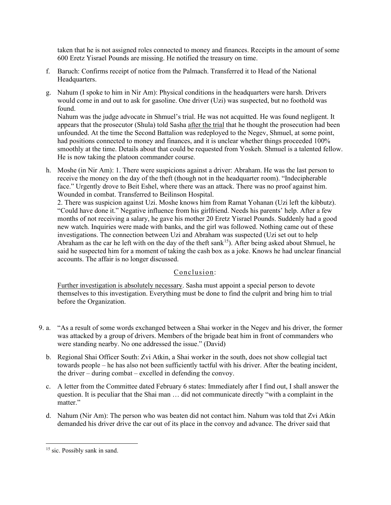taken that he is not assigned roles connected to money and finances. Receipts in the amount of some 600 Eretz Yisrael Pounds are missing. He notified the treasury on time.

- f. Baruch: Confirms receipt of notice from the Palmach. Transferred it to Head of the National Headquarters.
- g. Nahum (I spoke to him in Nir Am): Physical conditions in the headquarters were harsh. Drivers would come in and out to ask for gasoline. One driver (Uzi) was suspected, but no foothold was found.

Nahum was the judge advocate in Shmuel's trial. He was not acquitted. He was found negligent. It appears that the prosecutor (Shula) told Sasha after the trial that he thought the prosecution had been unfounded. At the time the Second Battalion was redeployed to the Negev, Shmuel, at some point, had positions connected to money and finances, and it is unclear whether things proceeded 100% smoothly at the time. Details about that could be requested from Yoskeh. Shmuel is a talented fellow. He is now taking the platoon commander course.

h. Moshe (in Nir Am): 1. There were suspicions against a driver: Abraham. He was the last person to receive the money on the day of the theft (though not in the headquarter room). "Indecipherable face." Urgently drove to Beit Eshel, where there was an attack. There was no proof against him. Wounded in combat. Transferred to Beilinson Hospital.

2. There was suspicion against Uzi. Moshe knows him from Ramat Yohanan (Uzi left the kibbutz). "Could have done it." Negative influence from his girlfriend. Needs his parents' help. After a few months of not receiving a salary, he gave his mother 20 Eretz Yisrael Pounds. Suddenly had a good new watch. Inquiries were made with banks, and the girl was followed. Nothing came out of these investigations. The connection between Uzi and Abraham was suspected (Uzi set out to help Abraham as the car he left with on the day of the theft sank<sup>15</sup>). After being asked about Shmuel, he said he suspected him for a moment of taking the cash box as a joke. Knows he had unclear financial accounts. The affair is no longer discussed.

## Conclusion:

Further investigation is absolutely necessary. Sasha must appoint a special person to devote themselves to this investigation. Everything must be done to find the culprit and bring him to trial before the Organization.

- 9. a. "As a result of some words exchanged between a Shai worker in the Negev and his driver, the former was attacked by a group of drivers. Members of the brigade beat him in front of commanders who were standing nearby. No one addressed the issue." (David)
	- b. Regional Shai Officer South: Zvi Atkin, a Shai worker in the south, does not show collegial tact towards people – he has also not been sufficiently tactful with his driver. After the beating incident, the driver – during combat – excelled in defending the convoy.
	- c. A letter from the Committee dated February 6 states: Immediately after I find out, I shall answer the question. It is peculiar that the Shai man … did not communicate directly "with a complaint in the matter."
	- d. Nahum (Nir Am): The person who was beaten did not contact him. Nahum was told that Zvi Atkin demanded his driver drive the car out of its place in the convoy and advance. The driver said that

<sup>&</sup>lt;sup>15</sup> sic. Possibly sank in sand.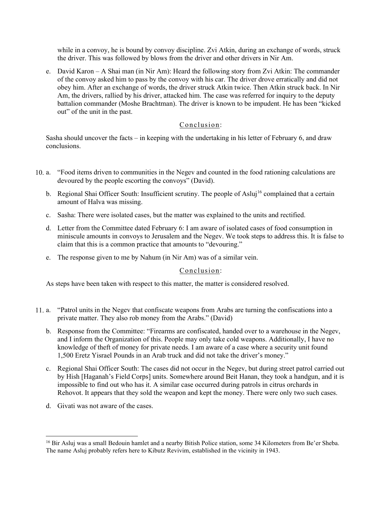while in a convoy, he is bound by convoy discipline. Zvi Atkin, during an exchange of words, struck the driver. This was followed by blows from the driver and other drivers in Nir Am.

e. David Karon – A Shai man (in Nir Am): Heard the following story from Zvi Atkin: The commander of the convoy asked him to pass by the convoy with his car. The driver drove erratically and did not obey him. After an exchange of words, the driver struck Atkin twice. Then Atkin struck back. In Nir Am, the drivers, rallied by his driver, attacked him. The case was referred for inquiry to the deputy battalion commander (Moshe Brachtman). The driver is known to be impudent. He has been "kicked out" of the unit in the past.

#### Conclusion:

Sasha should uncover the facts – in keeping with the undertaking in his letter of February 6, and draw conclusions.

- 10. a. a. "Food items driven to communities in the Negev and counted in the food rationing calculations are devoured by the people escorting the convoys" (David).
	- b. Regional Shai Officer South: Insufficient scrutiny. The people of Asluj<sup>16</sup> complained that a certain amount of Halva was missing.
	- c. Sasha: There were isolated cases, but the matter was explained to the units and rectified.
	- d. Letter from the Committee dated February 6: I am aware of isolated cases of food consumption in miniscule amounts in convoys to Jerusalem and the Negev. We took steps to address this. It is false to claim that this is a common practice that amounts to "devouring."
	- e. The response given to me by Nahum (in Nir Am) was of a similar vein.

#### Conclusion:

As steps have been taken with respect to this matter, the matter is considered resolved.

- $11. a.$ a. "Patrol units in the Negev that confiscate weapons from Arabs are turning the confiscations into a private matter. They also rob money from the Arabs." (David)
	- b. Response from the Committee: "Firearms are confiscated, handed over to a warehouse in the Negev, and I inform the Organization of this. People may only take cold weapons. Additionally, I have no knowledge of theft of money for private needs. I am aware of a case where a security unit found 1,500 Eretz Yisrael Pounds in an Arab truck and did not take the driver's money."
	- c. Regional Shai Officer South: The cases did not occur in the Negev, but during street patrol carried out by Hish [Haganah's Field Corps] units. Somewhere around Beit Hanan, they took a handgun, and it is impossible to find out who has it. A similar case occurred during patrols in citrus orchards in Rehovot. It appears that they sold the weapon and kept the money. There were only two such cases.
	- d. Givati was not aware of the cases.

<sup>&</sup>lt;sup>16</sup> Bir Asluj was a small Bedouin hamlet and a nearby Bitish Police station, some 34 Kilometers from Be'er Sheba. The name Asluj probably refers here to Kibutz Revivim, established in the vicinity in 1943.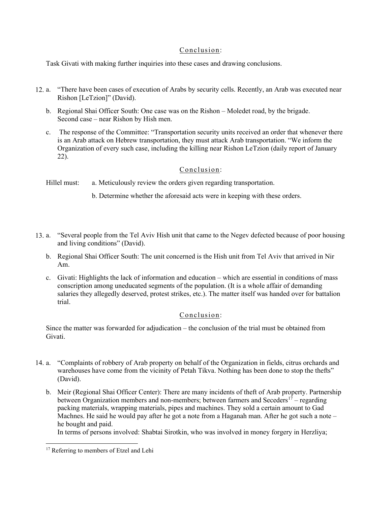## Conclusion:

Task Givati with making further inquiries into these cases and drawing conclusions.

- 12. a. "There have been cases of execution of Arabs by security cells. Recently, an Arab was executed near Rishon [LeTzion]" (David).
	- b. Regional Shai Officer South: One case was on the Rishon Moledet road, by the brigade. Second case – near Rishon by Hish men.
	- c. The response of the Committee: "Transportation security units received an order that whenever there is an Arab attack on Hebrew transportation, they must attack Arab transportation. "We inform the Organization of every such case, including the killing near Rishon LeTzion (daily report of January 22).

#### Conclusion:

Hillel must: a. Meticulously review the orders given regarding transportation.

b. Determine whether the aforesaid acts were in keeping with these orders.

- 13. a. "Several people from the Tel Aviv Hish unit that came to the Negev defected because of poor housing and living conditions" (David).
	- b. Regional Shai Officer South: The unit concerned is the Hish unit from Tel Aviv that arrived in Nir Am.
	- c. Givati: Highlights the lack of information and education which are essential in conditions of mass conscription among uneducated segments of the population. (It is a whole affair of demanding salaries they allegedly deserved, protest strikes, etc.). The matter itself was handed over for battalion trial.

## Conclusion:

Since the matter was forwarded for adjudication – the conclusion of the trial must be obtained from Givati.

- 14. a. "Complaints of robbery of Arab property on behalf of the Organization in fields, citrus orchards and warehouses have come from the vicinity of Petah Tikva. Nothing has been done to stop the thefts" (David).
	- b. Meir (Regional Shai Officer Center): There are many incidents of theft of Arab property. Partnership between Organization members and non-members; between farmers and Seceders<sup>17</sup> – regarding packing materials, wrapping materials, pipes and machines. They sold a certain amount to Gad Machnes. He said he would pay after he got a note from a Haganah man. After he got such a note – he bought and paid.

In terms of persons involved: Shabtai Sirotkin, who was involved in money forgery in Herzliya;

<sup>&</sup>lt;sup>17</sup> Referring to members of Etzel and Lehi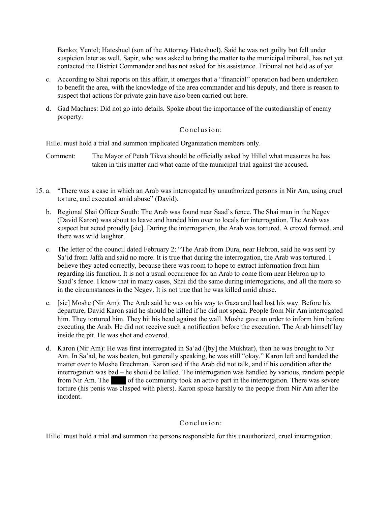Banko; Yentel; Hateshuel (son of the Attorney Hateshuel). Said he was not guilty but fell under suspicion later as well. Sapir, who was asked to bring the matter to the municipal tribunal, has not yet contacted the District Commander and has not asked for his assistance. Tribunal not held as of yet.

- c. According to Shai reports on this affair, it emerges that a "financial" operation had been undertaken to benefit the area, with the knowledge of the area commander and his deputy, and there is reason to suspect that actions for private gain have also been carried out here.
- d. Gad Machnes: Did not go into details. Spoke about the importance of the custodianship of enemy property.

## Conclusion:

Hillel must hold a trial and summon implicated Organization members only.

Comment: The Mayor of Petah Tikva should be officially asked by Hillel what measures he has taken in this matter and what came of the municipal trial against the accused.

- 15. a. "There was a case in which an Arab was interrogated by unauthorized persons in Nir Am, using cruel torture, and executed amid abuse" (David).
	- b. Regional Shai Officer South: The Arab was found near Saad's fence. The Shai man in the Negev (David Karon) was about to leave and handed him over to locals for interrogation. The Arab was suspect but acted proudly [sic]. During the interrogation, the Arab was tortured. A crowd formed, and there was wild laughter.
	- c. The letter of the council dated February 2: "The Arab from Dura, near Hebron, said he was sent by Sa'id from Jaffa and said no more. It is true that during the interrogation, the Arab was tortured. I believe they acted correctly, because there was room to hope to extract information from him regarding his function. It is not a usual occurrence for an Arab to come from near Hebron up to Saad's fence. I know that in many cases, Shai did the same during interrogations, and all the more so in the circumstances in the Negev. It is not true that he was killed amid abuse.
	- c. [sic] Moshe (Nir Am): The Arab said he was on his way to Gaza and had lost his way. Before his departure, David Karon said he should be killed if he did not speak. People from Nir Am interrogated him. They tortured him. They hit his head against the wall. Moshe gave an order to inform him before executing the Arab. He did not receive such a notification before the execution. The Arab himself lay inside the pit. He was shot and covered.
	- d. Karon (Nir Am): He was first interrogated in Sa'ad ([by] the Mukhtar), then he was brought to Nir Am. In Sa'ad, he was beaten, but generally speaking, he was still "okay." Karon left and handed the matter over to Moshe Brechman. Karon said if the Arab did not talk, and if his condition after the interrogation was bad – he should be killed. The interrogation was handled by various, random people from Nir Am. The of the community took an active part in the interrogation. There was severe torture (his penis was clasped with pliers). Karon spoke harshly to the people from Nir Am after the incident.

## Conclusion:

Hillel must hold a trial and summon the persons responsible for this unauthorized, cruel interrogation.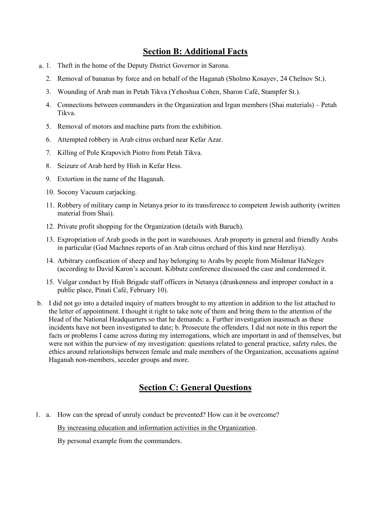## **Section B: Additional Facts**

- a. 1. Theft in the home of the Deputy District Governor in Sarona.
	- 2. Removal of bananas by force and on behalf of the Haganah (Sholmo Kosayev, 24 Chelnov St.).
	- 3. Wounding of Arab man in Petah Tikva (Yehoshua Cohen, Sharon Café, Stampfer St.).
	- 4. Connections between commanders in the Organization and Irgun members (Shai materials) Petah Tikva.
	- 5. Removal of motors and machine parts from the exhibition.
	- 6. Attempted robbery in Arab citrus orchard near Kefar Azar.
	- 7. Killing of Pole Krapovich Piotro from Petah Tikva.
	- 8. Seizure of Arab herd by Hish in Kefar Hess.
	- 9. Extortion in the name of the Haganah.
	- 10. Socony Vacuum carjacking.
	- 11. Robbery of military camp in Netanya prior to its transference to competent Jewish authority (written material from Shai).
	- 12. Private profit shopping for the Organization (details with Baruch).
	- 13. Expropriation of Arab goods in the port in warehouses. Arab property in general and friendly Arabs in particular (Gad Machnes reports of an Arab citrus orchard of this kind near Herzliya).
	- 14. Arbitrary confiscation of sheep and hay belonging to Arabs by people from Mishmar HaNegev (according to David Karon's account. Kibbutz conference discussed the case and condemned it.
	- 15. Vulgar conduct by Hish Brigade staff officers in Netanya (drunkenness and improper conduct in a public place, Pinati Café, February 10).
- b. I did not go into a detailed inquiry of matters brought to my attention in addition to the list attached to the letter of appointment. I thought it right to take note of them and bring them to the attention of the Head of the National Headquarters so that he demands: a. Further investigation inasmuch as these incidents have not been investigated to date; b. Prosecute the offenders. I did not note in this report the facts or problems I came across during my interrogations, which are important in and of themselves, but were not within the purview of my investigation: questions related to general practice, safety rules, the ethics around relationships between female and male members of the Organization, accusations against Haganah non-members, seceder groups and more.

# **Section C: General Questions**

1. a. How can the spread of unruly conduct be prevented? How can it be overcome?

By increasing education and information activities in the Organization.

By personal example from the commanders.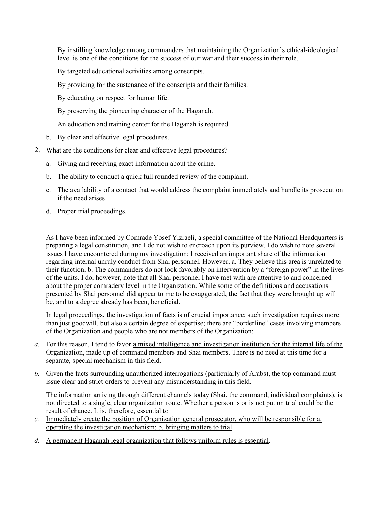By instilling knowledge among commanders that maintaining the Organization's ethical-ideological level is one of the conditions for the success of our war and their success in their role.

By targeted educational activities among conscripts.

By providing for the sustenance of the conscripts and their families.

By educating on respect for human life.

By preserving the pioneering character of the Haganah.

An education and training center for the Haganah is required.

- b. By clear and effective legal procedures.
- 2. What are the conditions for clear and effective legal procedures?
	- a. Giving and receiving exact information about the crime.
	- b. The ability to conduct a quick full rounded review of the complaint.
	- c. The availability of a contact that would address the complaint immediately and handle its prosecution if the need arises.
	- d. Proper trial proceedings.

As I have been informed by Comrade Yosef Yizraeli, a special committee of the National Headquarters is preparing a legal constitution, and I do not wish to encroach upon its purview. I do wish to note several issues I have encountered during my investigation: I received an important share of the information regarding internal unruly conduct from Shai personnel. However, a. They believe this area is unrelated to their function; b. The commanders do not look favorably on intervention by a "foreign power" in the lives of the units. I do, however, note that all Shai personnel I have met with are attentive to and concerned about the proper comradery level in the Organization. While some of the definitions and accusations presented by Shai personnel did appear to me to be exaggerated, the fact that they were brought up will be, and to a degree already has been, beneficial.

In legal proceedings, the investigation of facts is of crucial importance; such investigation requires more than just goodwill, but also a certain degree of expertise; there are "borderline" cases involving members of the Organization and people who are not members of the Organization;

- *a.* For this reason, I tend to favor a mixed intelligence and investigation institution for the internal life of the Organization, made up of command members and Shai members. There is no need at this time for a separate, special mechanism in this field.
- *b.* Given the facts surrounding unauthorized interrogations (particularly of Arabs), the top command must issue clear and strict orders to prevent any misunderstanding in this field.

The information arriving through different channels today (Shai, the command, individual complaints), is not directed to a single, clear organization route. Whether a person is or is not put on trial could be the result of chance. It is, therefore, essential to

- *c.* Immediately create the position of Organization general prosecutor, who will be responsible for a. operating the investigation mechanism; b. bringing matters to trial.
- *d.* A permanent Haganah legal organization that follows uniform rules is essential.